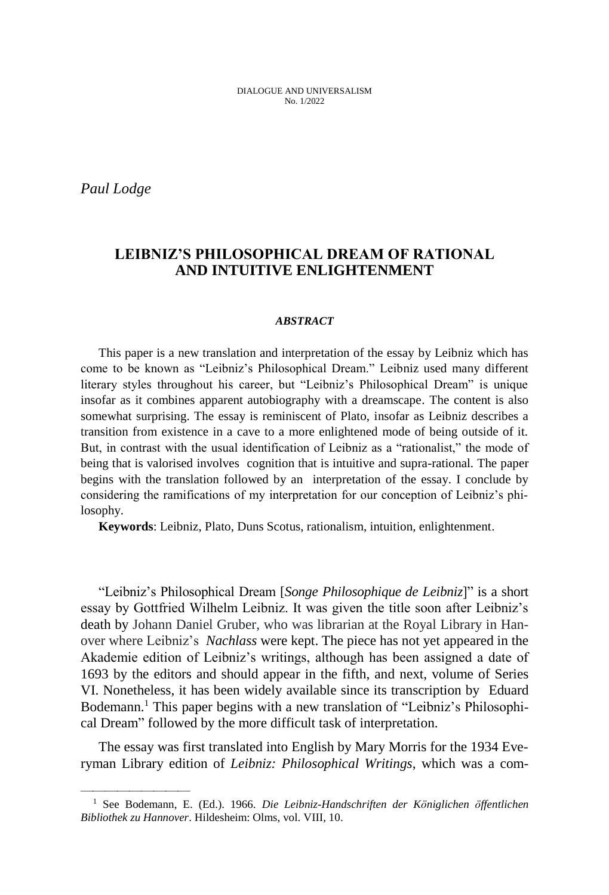*Paul Lodge*

————————————————————

# **LEIBNIZ'S PHILOSOPHICAL DREAM OF RATIONAL AND INTUITIVE ENLIGHTENMENT**

#### *ABSTRACT*

This paper is a new translation and interpretation of the essay by Leibniz which has come to be known as "Leibniz's Philosophical Dream." Leibniz used many different literary styles throughout his career, but "Leibniz's Philosophical Dream" is unique insofar as it combines apparent autobiography with a dreamscape. The content is also somewhat surprising. The essay is reminiscent of Plato, insofar as Leibniz describes a transition from existence in a cave to a more enlightened mode of being outside of it. But, in contrast with the usual identification of Leibniz as a "rationalist," the mode of being that is valorised involves cognition that is intuitive and supra-rational. The paper begins with the translation followed by an interpretation of the essay. I conclude by considering the ramifications of my interpretation for our conception of Leibniz's philosophy.

**Keywords**: Leibniz, Plato, Duns Scotus, rationalism, intuition, enlightenment.

"Leibniz's Philosophical Dream [*Songe Philosophique de Leibniz*]" is a short essay by Gottfried Wilhelm Leibniz. It was given the title soon after Leibniz's death by Johann Daniel Gruber, who was librarian at the Royal Library in Hanover where Leibniz's *Nachlass* were kept. The piece has not yet appeared in the Akademie edition of Leibniz's writings, although has been assigned a date of 1693 by the editors and should appear in the fifth, and next, volume of Series VI. Nonetheless, it has been widely available since its transcription by Eduard Bodemann.<sup>1</sup> This paper begins with a new translation of "Leibniz's Philosophical Dream" followed by the more difficult task of interpretation.

The essay was first translated into English by Mary Morris for the 1934 Everyman Library edition of *Leibniz: Philosophical Writings*, which was a com-

<sup>1</sup> See Bodemann, E. (Ed.). 1966. *Die Leibniz-Handschriften der Königlichen öffentlichen Bibliothek zu Hannover*. Hildesheim: Olms, vol. VIII, 10.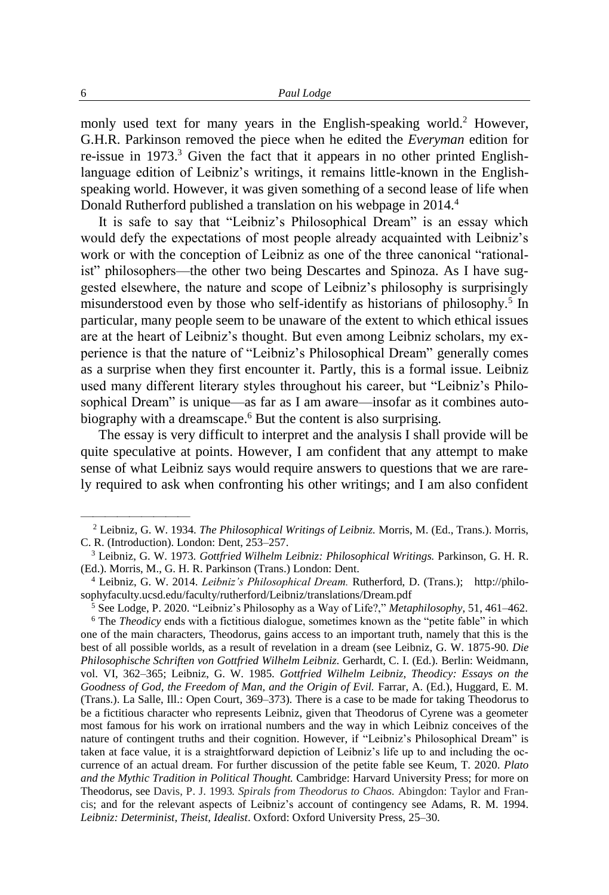monly used text for many years in the English-speaking world.<sup>2</sup> However, G.H.R. Parkinson removed the piece when he edited the *Everyman* edition for re-issue in 1973.<sup>3</sup> Given the fact that it appears in no other printed Englishlanguage edition of Leibniz's writings, it remains little-known in the Englishspeaking world. However, it was given something of a second lease of life when Donald Rutherford published a translation on his webpage in 2014.<sup>4</sup>

It is safe to say that "Leibniz's Philosophical Dream" is an essay which would defy the expectations of most people already acquainted with Leibniz's work or with the conception of Leibniz as one of the three canonical "rationalist" philosophers—the other two being Descartes and Spinoza. As I have suggested elsewhere, the nature and scope of Leibniz's philosophy is surprisingly misunderstood even by those who self-identify as historians of philosophy.<sup>5</sup> In particular, many people seem to be unaware of the extent to which ethical issues are at the heart of Leibniz's thought. But even among Leibniz scholars, my experience is that the nature of "Leibniz's Philosophical Dream" generally comes as a surprise when they first encounter it. Partly, this is a formal issue. Leibniz used many different literary styles throughout his career, but "Leibniz's Philosophical Dream" is unique—as far as I am aware—insofar as it combines autobiography with a dreamscape.<sup>6</sup> But the content is also surprising.

The essay is very difficult to interpret and the analysis I shall provide will be quite speculative at points. However, I am confident that any attempt to make sense of what Leibniz says would require answers to questions that we are rarely required to ask when confronting his other writings; and I am also confident

————————————————

<sup>2</sup> Leibniz, G. W. 1934. *The Philosophical Writings of Leibniz.* Morris, M. (Ed., Trans.). Morris, C. R. (Introduction). London: Dent, 253–257.

<sup>3</sup> Leibniz, G. W. 1973. *Gottfried Wilhelm Leibniz: Philosophical Writings.* Parkinson, G. H. R. (Ed.). Morris, M., G. H. R. Parkinson (Trans.) London: Dent.

<sup>4</sup> Leibniz, G. W. 2014. *Leibniz's Philosophical Dream.* Rutherford, D. (Trans.); [http://philo](http://philo-sophyfaculty.ucsd.edu/faculty/rutherford/Leibniz/translations/Dream.pdf)[sophyfaculty.ucsd.edu/faculty/rutherford/Leibniz/translations/Dream.pdf](http://philo-sophyfaculty.ucsd.edu/faculty/rutherford/Leibniz/translations/Dream.pdf)

<sup>5</sup> See Lodge, P. 2020. "Leibniz's Philosophy as a Way of Life?," *Metaphilosophy*, 51, 461–462. <sup>6</sup> The *Theodicy* ends with a fictitious dialogue, sometimes known as the "petite fable" in which one of the main characters, Theodorus, gains access to an important truth, namely that this is the best of all possible worlds, as a result of revelation in a dream (see Leibniz, G. W. 1875-90. *Die Philosophische Schriften von Gottfried Wilhelm Leibniz*. Gerhardt, C. I. (Ed.). Berlin: Weidmann, vol. VI, 362–365; Leibniz, G. W. 1985. *Gottfried Wilhelm Leibniz, Theodicy: Essays on the Goodness of God, the Freedom of Man, and the Origin of Evil.* Farrar, A. (Ed.), Huggard, E. M. (Trans.). La Salle, Ill.: Open Court, 369–373). There is a case to be made for taking Theodorus to be a fictitious character who represents Leibniz, given that Theodorus of Cyrene was a geometer most famous for his work on irrational numbers and the way in which Leibniz conceives of the nature of contingent truths and their cognition. However, if "Leibniz's Philosophical Dream" is taken at face value, it is a straightforward depiction of Leibniz's life up to and including the occurrence of an actual dream. For further discussion of the petite fable see Keum, T. 2020. *Plato and the Mythic Tradition in Political Thought.* Cambridge: Harvard University Press; for more on Theodorus, see Davis, P. J. 1993*. Spirals from Theodorus to Chaos.* Abingdon: Taylor and Francis; and for the relevant aspects of Leibniz's account of contingency see Adams, R. M. 1994. *Leibniz: Determinist, Theist, Idealist*. Oxford: Oxford University Press, 25–30.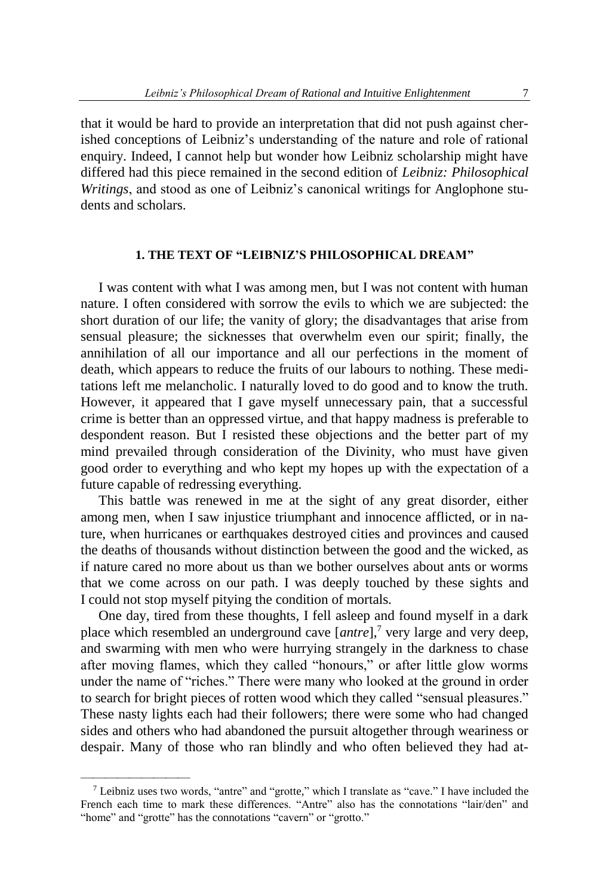that it would be hard to provide an interpretation that did not push against cherished conceptions of Leibniz's understanding of the nature and role of rational enquiry. Indeed, I cannot help but wonder how Leibniz scholarship might have differed had this piece remained in the second edition of *Leibniz: Philosophical Writings*, and stood as one of Leibniz's canonical writings for Anglophone students and scholars.

### **1. THE TEXT OF "LEIBNIZ'S PHILOSOPHICAL DREAM"**

I was content with what I was among men, but I was not content with human nature. I often considered with sorrow the evils to which we are subjected: the short duration of our life; the vanity of glory; the disadvantages that arise from sensual pleasure; the sicknesses that overwhelm even our spirit; finally, the annihilation of all our importance and all our perfections in the moment of death, which appears to reduce the fruits of our labours to nothing. These meditations left me melancholic. I naturally loved to do good and to know the truth. However, it appeared that I gave myself unnecessary pain, that a successful crime is better than an oppressed virtue, and that happy madness is preferable to despondent reason. But I resisted these objections and the better part of my mind prevailed through consideration of the Divinity, who must have given good order to everything and who kept my hopes up with the expectation of a future capable of redressing everything.

This battle was renewed in me at the sight of any great disorder, either among men, when I saw injustice triumphant and innocence afflicted, or in nature, when hurricanes or earthquakes destroyed cities and provinces and caused the deaths of thousands without distinction between the good and the wicked, as if nature cared no more about us than we bother ourselves about ants or worms that we come across on our path. I was deeply touched by these sights and I could not stop myself pitying the condition of mortals.

One day, tired from these thoughts, I fell asleep and found myself in a dark place which resembled an underground cave [*antre*],<sup>7</sup> very large and very deep, and swarming with men who were hurrying strangely in the darkness to chase after moving flames, which they called "honours," or after little glow worms under the name of "riches." There were many who looked at the ground in order to search for bright pieces of rotten wood which they called "sensual pleasures." These nasty lights each had their followers; there were some who had changed sides and others who had abandoned the pursuit altogether through weariness or despair. Many of those who ran blindly and who often believed they had at-

 $\frac{7}{1}$  Leibniz uses two words, "antre" and "grotte," which I translate as "cave." I have included the French each time to mark these differences. "Antre" also has the connotations "lair/den" and "home" and "grotte" has the connotations "cavern" or "grotto."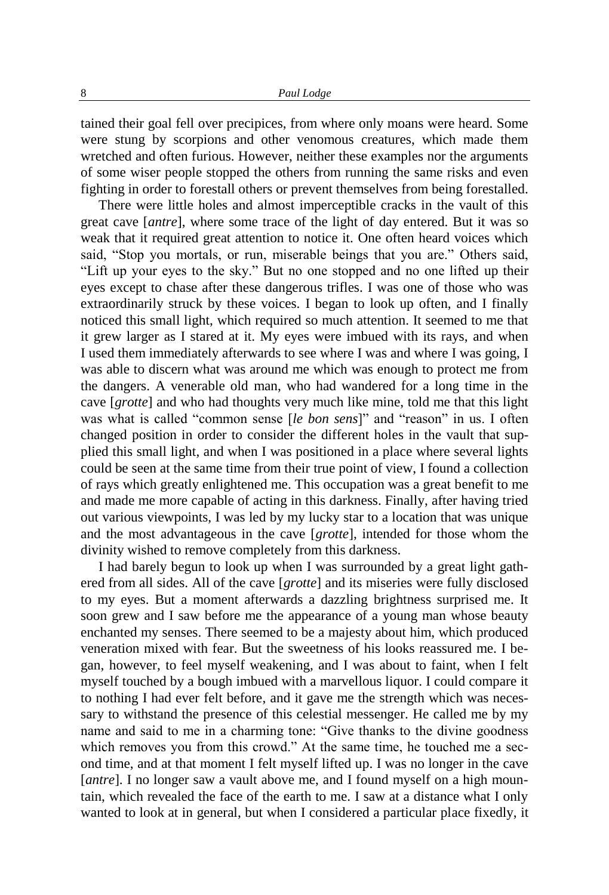tained their goal fell over precipices, from where only moans were heard. Some were stung by scorpions and other venomous creatures, which made them wretched and often furious. However, neither these examples nor the arguments of some wiser people stopped the others from running the same risks and even fighting in order to forestall others or prevent themselves from being forestalled.

There were little holes and almost imperceptible cracks in the vault of this great cave [*antre*], where some trace of the light of day entered. But it was so weak that it required great attention to notice it. One often heard voices which said, "Stop you mortals, or run, miserable beings that you are." Others said, "Lift up your eyes to the sky." But no one stopped and no one lifted up their eyes except to chase after these dangerous trifles. I was one of those who was extraordinarily struck by these voices. I began to look up often, and I finally noticed this small light, which required so much attention. It seemed to me that it grew larger as I stared at it. My eyes were imbued with its rays, and when I used them immediately afterwards to see where I was and where I was going, I was able to discern what was around me which was enough to protect me from the dangers. A venerable old man, who had wandered for a long time in the cave [*grotte*] and who had thoughts very much like mine, told me that this light was what is called "common sense [*le bon sens*]" and "reason" in us. I often changed position in order to consider the different holes in the vault that supplied this small light, and when I was positioned in a place where several lights could be seen at the same time from their true point of view, I found a collection of rays which greatly enlightened me. This occupation was a great benefit to me and made me more capable of acting in this darkness. Finally, after having tried out various viewpoints, I was led by my lucky star to a location that was unique and the most advantageous in the cave [*grotte*], intended for those whom the divinity wished to remove completely from this darkness.

I had barely begun to look up when I was surrounded by a great light gathered from all sides. All of the cave [*grotte*] and its miseries were fully disclosed to my eyes. But a moment afterwards a dazzling brightness surprised me. It soon grew and I saw before me the appearance of a young man whose beauty enchanted my senses. There seemed to be a majesty about him, which produced veneration mixed with fear. But the sweetness of his looks reassured me. I began, however, to feel myself weakening, and I was about to faint, when I felt myself touched by a bough imbued with a marvellous liquor. I could compare it to nothing I had ever felt before, and it gave me the strength which was necessary to withstand the presence of this celestial messenger. He called me by my name and said to me in a charming tone: "Give thanks to the divine goodness which removes you from this crowd." At the same time, he touched me a second time, and at that moment I felt myself lifted up. I was no longer in the cave [*antre*]. I no longer saw a vault above me, and I found myself on a high mountain, which revealed the face of the earth to me. I saw at a distance what I only wanted to look at in general, but when I considered a particular place fixedly, it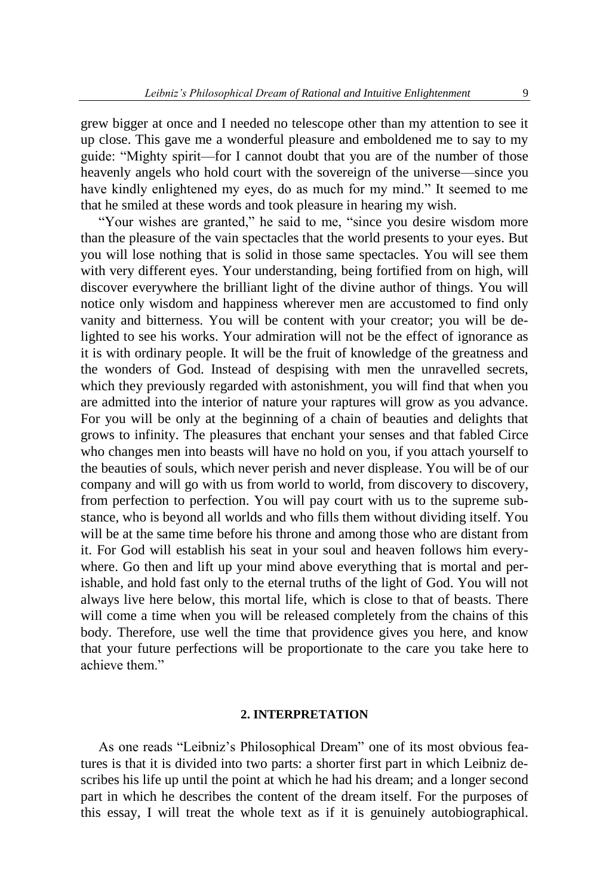grew bigger at once and I needed no telescope other than my attention to see it up close. This gave me a wonderful pleasure and emboldened me to say to my guide: "Mighty spirit—for I cannot doubt that you are of the number of those heavenly angels who hold court with the sovereign of the universe—since you have kindly enlightened my eyes, do as much for my mind." It seemed to me that he smiled at these words and took pleasure in hearing my wish.

"Your wishes are granted," he said to me, "since you desire wisdom more than the pleasure of the vain spectacles that the world presents to your eyes. But you will lose nothing that is solid in those same spectacles. You will see them with very different eyes. Your understanding, being fortified from on high, will discover everywhere the brilliant light of the divine author of things. You will notice only wisdom and happiness wherever men are accustomed to find only vanity and bitterness. You will be content with your creator; you will be delighted to see his works. Your admiration will not be the effect of ignorance as it is with ordinary people. It will be the fruit of knowledge of the greatness and the wonders of God. Instead of despising with men the unravelled secrets, which they previously regarded with astonishment, you will find that when you are admitted into the interior of nature your raptures will grow as you advance. For you will be only at the beginning of a chain of beauties and delights that grows to infinity. The pleasures that enchant your senses and that fabled Circe who changes men into beasts will have no hold on you, if you attach yourself to the beauties of souls, which never perish and never displease. You will be of our company and will go with us from world to world, from discovery to discovery, from perfection to perfection. You will pay court with us to the supreme substance, who is beyond all worlds and who fills them without dividing itself. You will be at the same time before his throne and among those who are distant from it. For God will establish his seat in your soul and heaven follows him everywhere. Go then and lift up your mind above everything that is mortal and perishable, and hold fast only to the eternal truths of the light of God. You will not always live here below, this mortal life, which is close to that of beasts. There will come a time when you will be released completely from the chains of this body. Therefore, use well the time that providence gives you here, and know that your future perfections will be proportionate to the care you take here to achieve them."

## **2. INTERPRETATION**

As one reads "Leibniz's Philosophical Dream" one of its most obvious features is that it is divided into two parts: a shorter first part in which Leibniz describes his life up until the point at which he had his dream; and a longer second part in which he describes the content of the dream itself. For the purposes of this essay, I will treat the whole text as if it is genuinely autobiographical.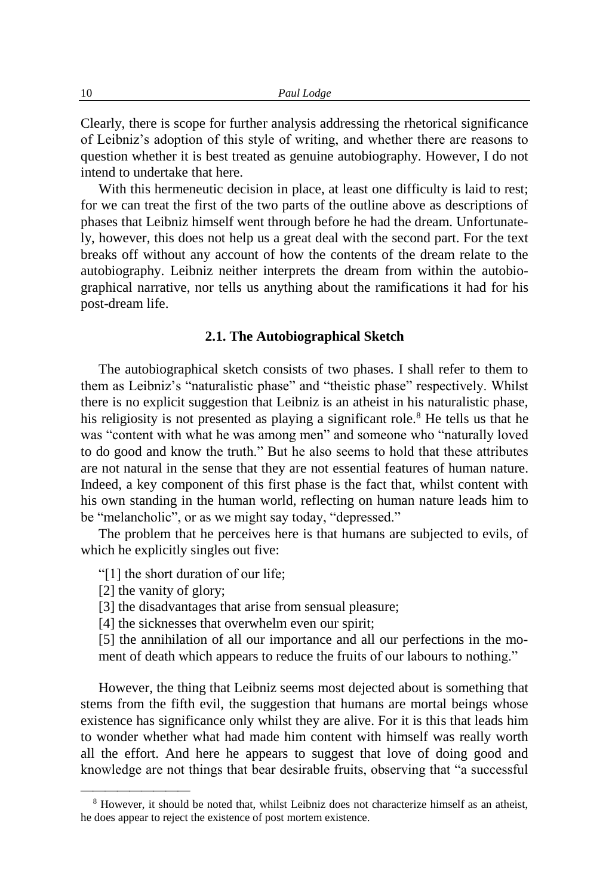Clearly, there is scope for further analysis addressing the rhetorical significance of Leibniz's adoption of this style of writing, and whether there are reasons to question whether it is best treated as genuine autobiography. However, I do not intend to undertake that here.

With this hermeneutic decision in place, at least one difficulty is laid to rest; for we can treat the first of the two parts of the outline above as descriptions of phases that Leibniz himself went through before he had the dream. Unfortunately, however, this does not help us a great deal with the second part. For the text breaks off without any account of how the contents of the dream relate to the autobiography. Leibniz neither interprets the dream from within the autobiographical narrative, nor tells us anything about the ramifications it had for his post-dream life.

### **2.1. The Autobiographical Sketch**

The autobiographical sketch consists of two phases. I shall refer to them to them as Leibniz's "naturalistic phase" and "theistic phase" respectively. Whilst there is no explicit suggestion that Leibniz is an atheist in his naturalistic phase, his religiosity is not presented as playing a significant role.<sup>8</sup> He tells us that he was "content with what he was among men" and someone who "naturally loved to do good and know the truth." But he also seems to hold that these attributes are not natural in the sense that they are not essential features of human nature. Indeed, a key component of this first phase is the fact that, whilst content with his own standing in the human world, reflecting on human nature leads him to be "melancholic", or as we might say today, "depressed."

The problem that he perceives here is that humans are subjected to evils, of which he explicitly singles out five:

"[1] the short duration of our life;

[2] the vanity of glory;

————————————————————

[3] the disadvantages that arise from sensual pleasure;

[4] the sicknesses that overwhelm even our spirit;

[5] the annihilation of all our importance and all our perfections in the moment of death which appears to reduce the fruits of our labours to nothing."

However, the thing that Leibniz seems most dejected about is something that stems from the fifth evil, the suggestion that humans are mortal beings whose existence has significance only whilst they are alive. For it is this that leads him to wonder whether what had made him content with himself was really worth all the effort. And here he appears to suggest that love of doing good and knowledge are not things that bear desirable fruits, observing that "a successful

<sup>8</sup> However, it should be noted that, whilst Leibniz does not characterize himself as an atheist, he does appear to reject the existence of post mortem existence.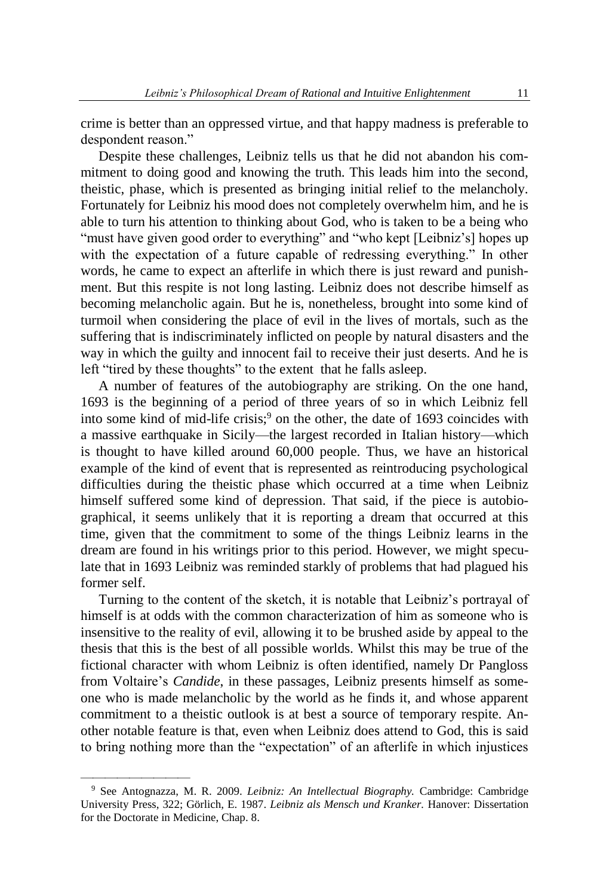crime is better than an oppressed virtue, and that happy madness is preferable to despondent reason."

Despite these challenges, Leibniz tells us that he did not abandon his commitment to doing good and knowing the truth. This leads him into the second, theistic, phase, which is presented as bringing initial relief to the melancholy. Fortunately for Leibniz his mood does not completely overwhelm him, and he is able to turn his attention to thinking about God, who is taken to be a being who "must have given good order to everything" and "who kept [Leibniz's] hopes up with the expectation of a future capable of redressing everything." In other words, he came to expect an afterlife in which there is just reward and punishment. But this respite is not long lasting. Leibniz does not describe himself as becoming melancholic again. But he is, nonetheless, brought into some kind of turmoil when considering the place of evil in the lives of mortals, such as the suffering that is indiscriminately inflicted on people by natural disasters and the way in which the guilty and innocent fail to receive their just deserts. And he is left "tired by these thoughts" to the extent that he falls asleep.

A number of features of the autobiography are striking. On the one hand, 1693 is the beginning of a period of three years of so in which Leibniz fell into some kind of mid-life crisis;<sup>9</sup> on the other, the date of  $1693$  coincides with a massive earthquake in Sicily—the largest recorded in Italian history—which is thought to have killed around 60,000 people. Thus, we have an historical example of the kind of event that is represented as reintroducing psychological difficulties during the theistic phase which occurred at a time when Leibniz himself suffered some kind of depression. That said, if the piece is autobiographical, it seems unlikely that it is reporting a dream that occurred at this time, given that the commitment to some of the things Leibniz learns in the dream are found in his writings prior to this period. However, we might speculate that in 1693 Leibniz was reminded starkly of problems that had plagued his former self.

Turning to the content of the sketch, it is notable that Leibniz's portrayal of himself is at odds with the common characterization of him as someone who is insensitive to the reality of evil, allowing it to be brushed aside by appeal to the thesis that this is the best of all possible worlds. Whilst this may be true of the fictional character with whom Leibniz is often identified, namely Dr Pangloss from Voltaire's *Candide*, in these passages, Leibniz presents himself as someone who is made melancholic by the world as he finds it, and whose apparent commitment to a theistic outlook is at best a source of temporary respite. Another notable feature is that, even when Leibniz does attend to God, this is said to bring nothing more than the "expectation" of an afterlife in which injustices

<sup>9</sup> See Antognazza, M. R. 2009. *Leibniz: An Intellectual Biography.* Cambridge: Cambridge University Press, 322; Görlich, E. 1987. *Leibniz als Mensch und Kranker.* Hanover: Dissertation for the Doctorate in Medicine, Chap. 8.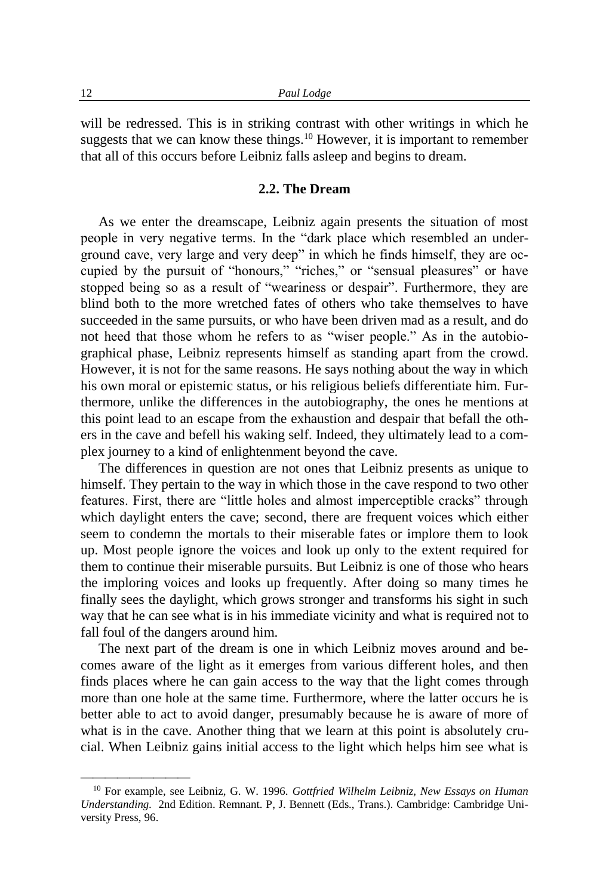will be redressed. This is in striking contrast with other writings in which he suggests that we can know these things.<sup>10</sup> However, it is important to remember that all of this occurs before Leibniz falls asleep and begins to dream.

### **2.2. The Dream**

As we enter the dreamscape, Leibniz again presents the situation of most people in very negative terms. In the "dark place which resembled an underground cave, very large and very deep" in which he finds himself, they are occupied by the pursuit of "honours," "riches," or "sensual pleasures" or have stopped being so as a result of "weariness or despair". Furthermore, they are blind both to the more wretched fates of others who take themselves to have succeeded in the same pursuits, or who have been driven mad as a result, and do not heed that those whom he refers to as "wiser people." As in the autobiographical phase, Leibniz represents himself as standing apart from the crowd. However, it is not for the same reasons. He says nothing about the way in which his own moral or epistemic status, or his religious beliefs differentiate him. Furthermore, unlike the differences in the autobiography, the ones he mentions at this point lead to an escape from the exhaustion and despair that befall the others in the cave and befell his waking self. Indeed, they ultimately lead to a complex journey to a kind of enlightenment beyond the cave.

The differences in question are not ones that Leibniz presents as unique to himself. They pertain to the way in which those in the cave respond to two other features. First, there are "little holes and almost imperceptible cracks" through which daylight enters the cave; second, there are frequent voices which either seem to condemn the mortals to their miserable fates or implore them to look up. Most people ignore the voices and look up only to the extent required for them to continue their miserable pursuits. But Leibniz is one of those who hears the imploring voices and looks up frequently. After doing so many times he finally sees the daylight, which grows stronger and transforms his sight in such way that he can see what is in his immediate vicinity and what is required not to fall foul of the dangers around him.

The next part of the dream is one in which Leibniz moves around and becomes aware of the light as it emerges from various different holes, and then finds places where he can gain access to the way that the light comes through more than one hole at the same time. Furthermore, where the latter occurs he is better able to act to avoid danger, presumably because he is aware of more of what is in the cave. Another thing that we learn at this point is absolutely crucial. When Leibniz gains initial access to the light which helps him see what is

<sup>10</sup> For example, see Leibniz, G. W. 1996. *Gottfried Wilhelm Leibniz, New Essays on Human Understanding.* 2nd Edition. Remnant. P, J. Bennett (Eds., Trans.). Cambridge: Cambridge University Press, 96.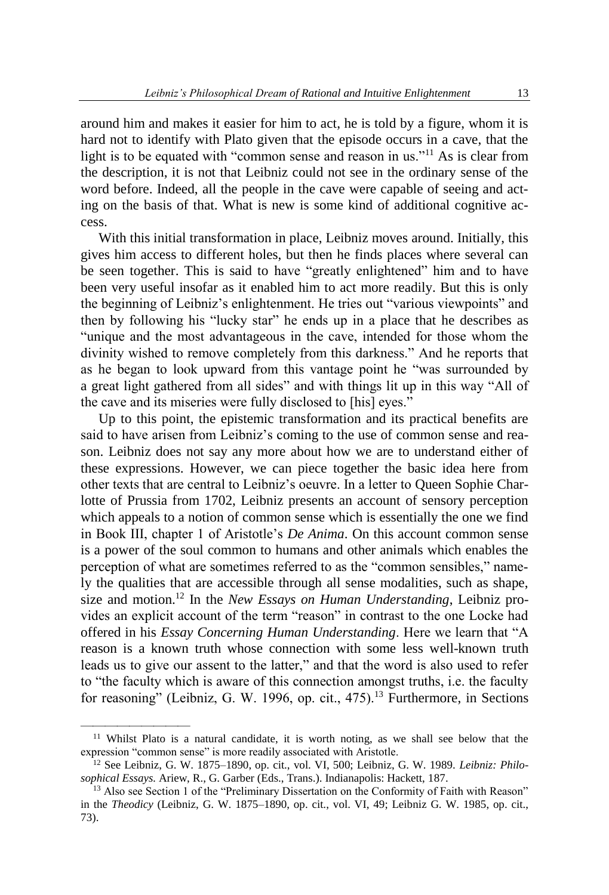around him and makes it easier for him to act, he is told by a figure, whom it is hard not to identify with Plato given that the episode occurs in a cave, that the light is to be equated with "common sense and reason in us."<sup>11</sup> As is clear from the description, it is not that Leibniz could not see in the ordinary sense of the word before. Indeed, all the people in the cave were capable of seeing and acting on the basis of that. What is new is some kind of additional cognitive access.

With this initial transformation in place, Leibniz moves around. Initially, this gives him access to different holes, but then he finds places where several can be seen together. This is said to have "greatly enlightened" him and to have been very useful insofar as it enabled him to act more readily. But this is only the beginning of Leibniz's enlightenment. He tries out "various viewpoints" and then by following his "lucky star" he ends up in a place that he describes as "unique and the most advantageous in the cave, intended for those whom the divinity wished to remove completely from this darkness." And he reports that as he began to look upward from this vantage point he "was surrounded by a great light gathered from all sides" and with things lit up in this way "All of the cave and its miseries were fully disclosed to [his] eyes."

Up to this point, the epistemic transformation and its practical benefits are said to have arisen from Leibniz's coming to the use of common sense and reason. Leibniz does not say any more about how we are to understand either of these expressions. However, we can piece together the basic idea here from other texts that are central to Leibniz's oeuvre. In a letter to Queen Sophie Charlotte of Prussia from 1702, Leibniz presents an account of sensory perception which appeals to a notion of common sense which is essentially the one we find in Book III, chapter 1 of Aristotle's *De Anima*. On this account common sense is a power of the soul common to humans and other animals which enables the perception of what are sometimes referred to as the "common sensibles," namely the qualities that are accessible through all sense modalities, such as shape, size and motion.<sup>12</sup> In the *New Essays on Human Understanding*, Leibniz provides an explicit account of the term "reason" in contrast to the one Locke had offered in his *Essay Concerning Human Understanding*. Here we learn that "A reason is a known truth whose connection with some less well-known truth leads us to give our assent to the latter," and that the word is also used to refer to "the faculty which is aware of this connection amongst truths, i.e. the faculty for reasoning" (Leibniz, G. W. 1996, op. cit., 475).<sup>13</sup> Furthermore, in Sections

<sup>&</sup>lt;sup>11</sup> Whilst Plato is a natural candidate, it is worth noting, as we shall see below that the expression "common sense" is more readily associated with Aristotle.

<sup>12</sup> See Leibniz, G. W. 1875–1890, op. cit., vol. VI, 500; Leibniz, G. W. 1989. *Leibniz: Philosophical Essays.* Ariew, R., G. Garber (Eds., Trans.). Indianapolis: Hackett, 187.

<sup>&</sup>lt;sup>13</sup> Also see Section 1 of the "Preliminary Dissertation on the Conformity of Faith with Reason" in the *Theodicy* (Leibniz, G. W. 1875–1890, op. cit., vol. VI, 49; Leibniz G. W. 1985, op. cit., 73).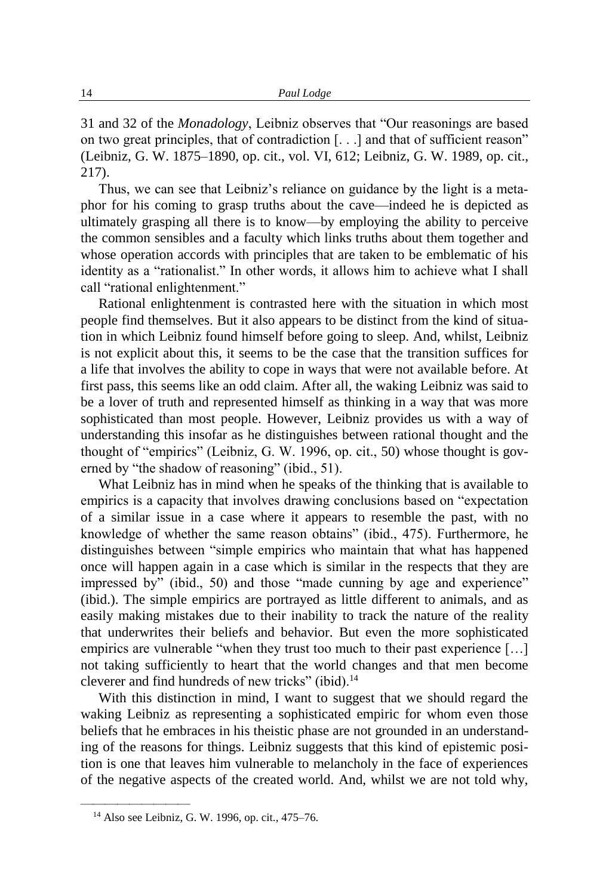31 and 32 of the *Monadology*, Leibniz observes that "Our reasonings are based on two great principles, that of contradiction [. . .] and that of sufficient reason" (Leibniz, G. W. 1875–1890, op. cit., vol. VI, 612; Leibniz, G. W. 1989, op. cit., 217).

Thus, we can see that Leibniz's reliance on guidance by the light is a metaphor for his coming to grasp truths about the cave—indeed he is depicted as ultimately grasping all there is to know—by employing the ability to perceive the common sensibles and a faculty which links truths about them together and whose operation accords with principles that are taken to be emblematic of his identity as a "rationalist." In other words, it allows him to achieve what I shall call "rational enlightenment."

Rational enlightenment is contrasted here with the situation in which most people find themselves. But it also appears to be distinct from the kind of situation in which Leibniz found himself before going to sleep. And, whilst, Leibniz is not explicit about this, it seems to be the case that the transition suffices for a life that involves the ability to cope in ways that were not available before. At first pass, this seems like an odd claim. After all, the waking Leibniz was said to be a lover of truth and represented himself as thinking in a way that was more sophisticated than most people. However, Leibniz provides us with a way of understanding this insofar as he distinguishes between rational thought and the thought of "empirics" (Leibniz, G. W. 1996, op. cit., 50) whose thought is governed by "the shadow of reasoning" (ibid., 51).

What Leibniz has in mind when he speaks of the thinking that is available to empirics is a capacity that involves drawing conclusions based on "expectation of a similar issue in a case where it appears to resemble the past, with no knowledge of whether the same reason obtains" (ibid., 475). Furthermore, he distinguishes between "simple empirics who maintain that what has happened once will happen again in a case which is similar in the respects that they are impressed by" (ibid., 50) and those "made cunning by age and experience" (ibid.). The simple empirics are portrayed as little different to animals, and as easily making mistakes due to their inability to track the nature of the reality that underwrites their beliefs and behavior. But even the more sophisticated empirics are vulnerable "when they trust too much to their past experience […] not taking sufficiently to heart that the world changes and that men become cleverer and find hundreds of new tricks" (ibid). $14$ 

With this distinction in mind, I want to suggest that we should regard the waking Leibniz as representing a sophisticated empiric for whom even those beliefs that he embraces in his theistic phase are not grounded in an understanding of the reasons for things. Leibniz suggests that this kind of epistemic position is one that leaves him vulnerable to melancholy in the face of experiences of the negative aspects of the created world. And, whilst we are not told why,

<sup>14</sup> Also see Leibniz, G. W. 1996, op. cit., 475–76.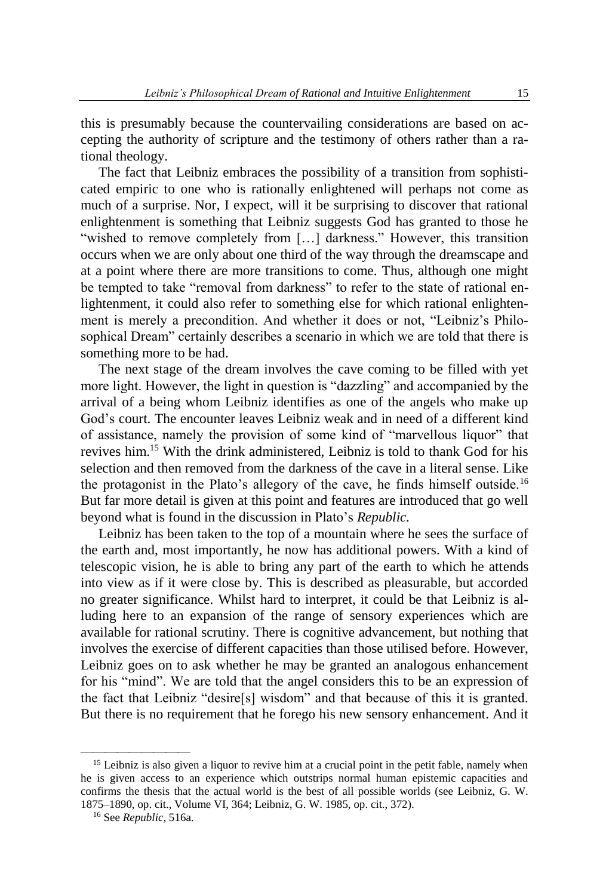this is presumably because the countervailing considerations are based on accepting the authority of scripture and the testimony of others rather than a rational theology.

The fact that Leibniz embraces the possibility of a transition from sophisticated empiric to one who is rationally enlightened will perhaps not come as much of a surprise. Nor, I expect, will it be surprising to discover that rational enlightenment is something that Leibniz suggests God has granted to those he "wished to remove completely from [...] darkness." However, this transition occurs when we are only about one third of the way through the dreamscape and at a point where there are more transitions to come. Thus, although one might be tempted to take "removal from darkness" to refer to the state of rational enlightenment, it could also refer to something else for which rational enlightenment is merely a precondition. And whether it does or not, "Leibniz's Philosophical Dream" certainly describes a scenario in which we are told that there is something more to be had.

The next stage of the dream involves the cave coming to be filled with yet more light. However, the light in question is "dazzling" and accompanied by the arrival of a being whom Leibniz identifies as one of the angels who make up God's court. The encounter leaves Leibniz weak and in need of a different kind of assistance, namely the provision of some kind of "marvellous liquor" that revives him.<sup>15</sup> With the drink administered, Leibniz is told to thank God for his selection and then removed from the darkness of the cave in a literal sense. Like the protagonist in the Plato's allegory of the cave, he finds himself outside.<sup>16</sup> But far more detail is given at this point and features are introduced that go well beyond what is found in the discussion in Plato's *Republic.*

Leibniz has been taken to the top of a mountain where he sees the surface of the earth and, most importantly, he now has additional powers. With a kind of telescopic vision, he is able to bring any part of the earth to which he attends into view as if it were close by. This is described as pleasurable, but accorded no greater significance. Whilst hard to interpret, it could be that Leibniz is alluding here to an expansion of the range of sensory experiences which are available for rational scrutiny. There is cognitive advancement, but nothing that involves the exercise of different capacities than those utilised before. However, Leibniz goes on to ask whether he may be granted an analogous enhancement for his "mind". We are told that the angel considers this to be an expression of the fact that Leibniz "desire[s] wisdom" and that because of this it is granted. But there is no requirement that he forego his new sensory enhancement. And it

<sup>&</sup>lt;sup>15</sup> Leibniz is also given a liquor to revive him at a crucial point in the petit fable, namely when he is given access to an experience which outstrips normal human epistemic capacities and confirms the thesis that the actual world is the best of all possible worlds (see Leibniz, G. W. 1875–1890, op. cit., Volume VI, 364; Leibniz, G. W. 1985, op. cit., 372).

<sup>16</sup> See *Republic*, 516a.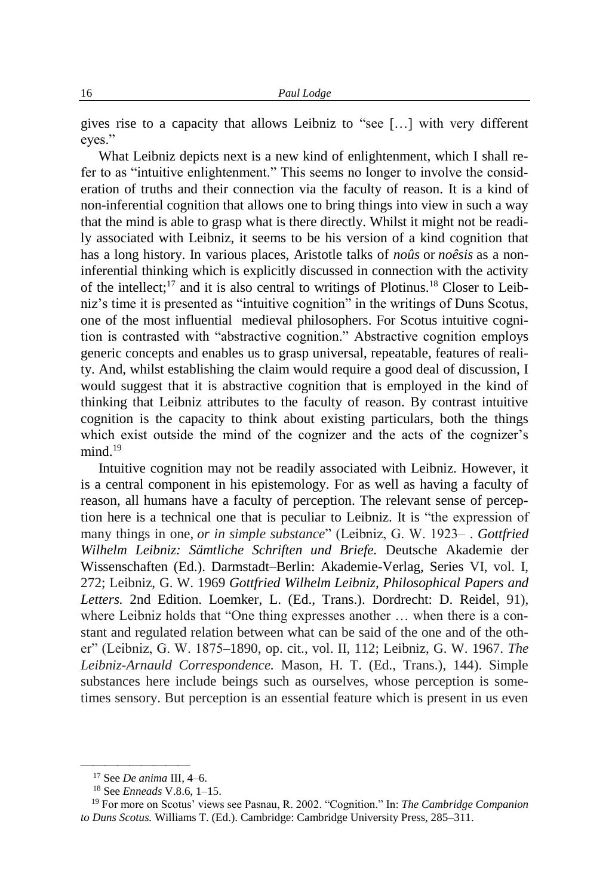gives rise to a capacity that allows Leibniz to "see […] with very different eyes."

What Leibniz depicts next is a new kind of enlightenment, which I shall refer to as "intuitive enlightenment." This seems no longer to involve the consideration of truths and their connection via the faculty of reason. It is a kind of non-inferential cognition that allows one to bring things into view in such a way that the mind is able to grasp what is there directly. Whilst it might not be readily associated with Leibniz, it seems to be his version of a kind cognition that has a long history. In various places, Aristotle talks of *noûs* or *noêsis* as a noninferential thinking which is explicitly discussed in connection with the activity of the intellect;<sup>17</sup> and it is also central to writings of Plotinus.<sup>18</sup> Closer to Leibniz's time it is presented as "intuitive cognition" in the writings of Duns Scotus, one of the most influential medieval philosophers. For Scotus intuitive cognition is contrasted with "abstractive cognition." Abstractive cognition employs generic concepts and enables us to grasp universal, repeatable, features of reality. And, whilst establishing the claim would require a good deal of discussion, I would suggest that it is abstractive cognition that is employed in the kind of thinking that Leibniz attributes to the faculty of reason. By contrast intuitive cognition is the capacity to think about existing particulars, both the things which exist outside the mind of the cognizer and the acts of the cognizer's  $mind.<sup>19</sup>$ 

Intuitive cognition may not be readily associated with Leibniz. However, it is a central component in his epistemology. For as well as having a faculty of reason, all humans have a faculty of perception. The relevant sense of perception here is a technical one that is peculiar to Leibniz. It is "the expression of many things in one, *or in simple substance*" (Leibniz, G. W. 1923– . *Gottfried Wilhelm Leibniz: Sämtliche Schriften und Briefe.* Deutsche Akademie der Wissenschaften (Ed.). Darmstadt–Berlin: Akademie-Verlag, Series VI, vol. I, 272; Leibniz, G. W. 1969 *Gottfried Wilhelm Leibniz, Philosophical Papers and Letters.* 2nd Edition. Loemker, L. (Ed., Trans.). Dordrecht: D. Reidel, 91), where Leibniz holds that "One thing expresses another … when there is a constant and regulated relation between what can be said of the one and of the other" (Leibniz, G. W. 1875–1890, op. cit., vol. II, 112; Leibniz, G. W. 1967. *The Leibniz-Arnauld Correspondence.* Mason, H. T. (Ed., Trans.), 144). Simple substances here include beings such as ourselves, whose perception is sometimes sensory. But perception is an essential feature which is present in us even

<sup>17</sup> See *De anima* III, 4–6.

<sup>18</sup> See *Enneads* V.8.6, 1–15.

<sup>19</sup> For more on Scotus' views see Pasnau, R. 2002. "Cognition." In: *The Cambridge Companion to Duns Scotus.* Williams T. (Ed.). Cambridge: Cambridge University Press, 285–311.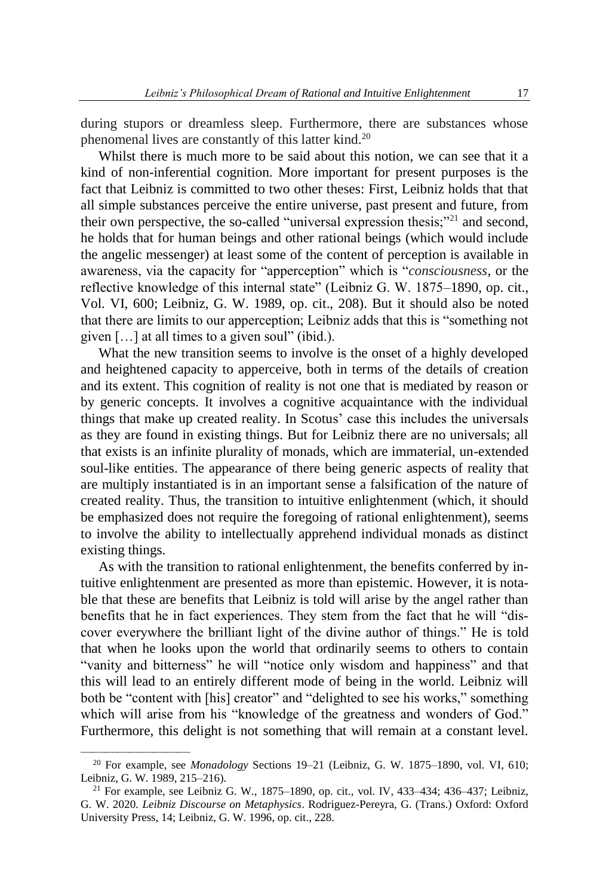during stupors or dreamless sleep. Furthermore, there are substances whose phenomenal lives are constantly of this latter kind.<sup>20</sup>

Whilst there is much more to be said about this notion, we can see that it a kind of non-inferential cognition. More important for present purposes is the fact that Leibniz is committed to two other theses: First, Leibniz holds that that all simple substances perceive the entire universe, past present and future, from their own perspective, the so-called "universal expression thesis;"<sup>21</sup> and second, he holds that for human beings and other rational beings (which would include the angelic messenger) at least some of the content of perception is available in awareness, via the capacity for "apperception" which is "*consciousness*, or the reflective knowledge of this internal state" (Leibniz G. W. 1875–1890, op. cit., Vol. VI, 600; Leibniz, G. W. 1989, op. cit., 208). But it should also be noted that there are limits to our apperception; Leibniz adds that this is "something not given […] at all times to a given soul" (ibid.).

What the new transition seems to involve is the onset of a highly developed and heightened capacity to apperceive, both in terms of the details of creation and its extent. This cognition of reality is not one that is mediated by reason or by generic concepts. It involves a cognitive acquaintance with the individual things that make up created reality. In Scotus' case this includes the universals as they are found in existing things. But for Leibniz there are no universals; all that exists is an infinite plurality of monads, which are immaterial, un-extended soul-like entities. The appearance of there being generic aspects of reality that are multiply instantiated is in an important sense a falsification of the nature of created reality. Thus, the transition to intuitive enlightenment (which, it should be emphasized does not require the foregoing of rational enlightenment), seems to involve the ability to intellectually apprehend individual monads as distinct existing things.

As with the transition to rational enlightenment, the benefits conferred by intuitive enlightenment are presented as more than epistemic. However, it is notable that these are benefits that Leibniz is told will arise by the angel rather than benefits that he in fact experiences. They stem from the fact that he will "discover everywhere the brilliant light of the divine author of things." He is told that when he looks upon the world that ordinarily seems to others to contain "vanity and bitterness" he will "notice only wisdom and happiness" and that this will lead to an entirely different mode of being in the world. Leibniz will both be "content with [his] creator" and "delighted to see his works," something which will arise from his "knowledge of the greatness and wonders of God." Furthermore, this delight is not something that will remain at a constant level.

<sup>20</sup> For example, see *Monadology* Sections 19–21 (Leibniz, G. W. 1875–1890, vol. VI, 610; Leibniz, G. W. 1989, 215–216).

<sup>21</sup> For example, see Leibniz G. W., 1875–1890, op. cit., vol. IV, 433–434; 436–437; Leibniz, G. W. 2020. *Leibniz Discourse on Metaphysics*. Rodriguez-Pereyra, G. (Trans.) Oxford: Oxford University Press, 14; Leibniz, G. W. 1996, op. cit., 228.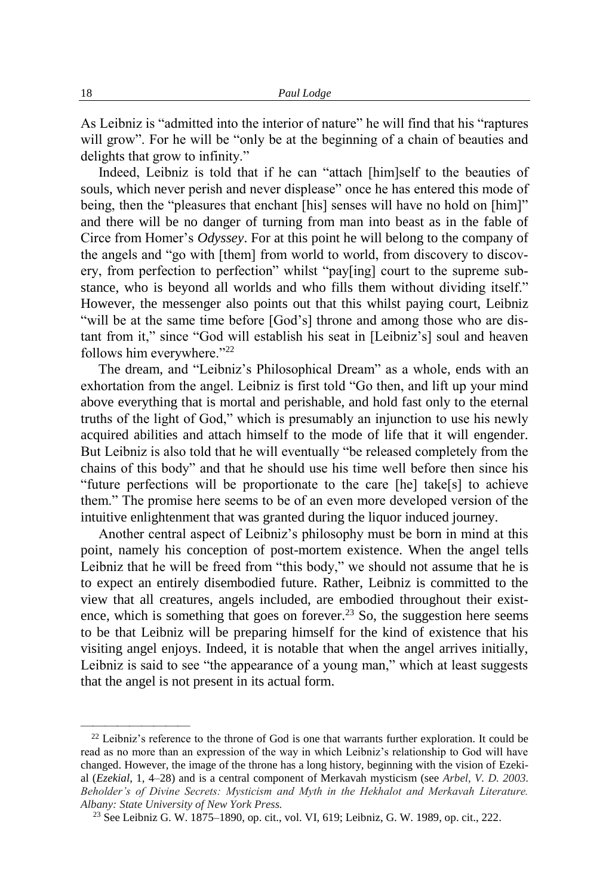As Leibniz is "admitted into the interior of nature" he will find that his "raptures will grow". For he will be "only be at the beginning of a chain of beauties and delights that grow to infinity."

Indeed, Leibniz is told that if he can "attach [him]self to the beauties of souls, which never perish and never displease" once he has entered this mode of being, then the "pleasures that enchant [his] senses will have no hold on [him]" and there will be no danger of turning from man into beast as in the fable of Circe from Homer's *Odyssey*. For at this point he will belong to the company of the angels and "go with [them] from world to world, from discovery to discovery, from perfection to perfection" whilst "pay[ing] court to the supreme substance, who is beyond all worlds and who fills them without dividing itself." However, the messenger also points out that this whilst paying court, Leibniz "will be at the same time before [God's] throne and among those who are distant from it," since "God will establish his seat in [Leibniz's] soul and heaven follows him everywhere."<sup>22</sup>

The dream, and "Leibniz's Philosophical Dream" as a whole, ends with an exhortation from the angel. Leibniz is first told "Go then, and lift up your mind above everything that is mortal and perishable, and hold fast only to the eternal truths of the light of God," which is presumably an injunction to use his newly acquired abilities and attach himself to the mode of life that it will engender. But Leibniz is also told that he will eventually "be released completely from the chains of this body" and that he should use his time well before then since his "future perfections will be proportionate to the care [he] take[s] to achieve them." The promise here seems to be of an even more developed version of the intuitive enlightenment that was granted during the liquor induced journey.

Another central aspect of Leibniz's philosophy must be born in mind at this point, namely his conception of post-mortem existence. When the angel tells Leibniz that he will be freed from "this body," we should not assume that he is to expect an entirely disembodied future. Rather, Leibniz is committed to the view that all creatures, angels included, are embodied throughout their existence, which is something that goes on forever.<sup>23</sup> So, the suggestion here seems to be that Leibniz will be preparing himself for the kind of existence that his visiting angel enjoys. Indeed, it is notable that when the angel arrives initially, Leibniz is said to see "the appearance of a young man," which at least suggests that the angel is not present in its actual form.

<sup>&</sup>lt;sup>22</sup> Leibniz's reference to the throne of God is one that warrants further exploration. It could be read as no more than an expression of the way in which Leibniz's relationship to God will have changed. However, the image of the throne has a long history, beginning with the vision of Ezekial (*Ezekial*, 1, 4–28) and is a central component of Merkavah mysticism (see *Arbel, V. D. 2003. Beholder's of Divine Secrets: Mysticism and Myth in the Hekhalot and Merkavah Literature. Albany: State University of New York Press.*

<sup>23</sup> See Leibniz G. W. 1875–1890, op. cit., vol. VI, 619; Leibniz, G. W. 1989, op. cit., 222.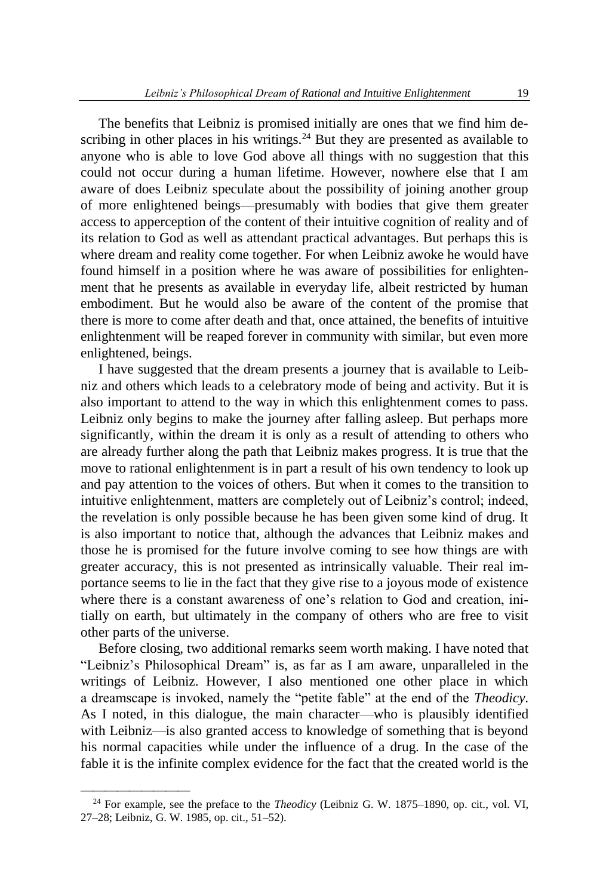The benefits that Leibniz is promised initially are ones that we find him describing in other places in his writings. $24$  But they are presented as available to anyone who is able to love God above all things with no suggestion that this could not occur during a human lifetime. However, nowhere else that I am aware of does Leibniz speculate about the possibility of joining another group of more enlightened beings—presumably with bodies that give them greater access to apperception of the content of their intuitive cognition of reality and of its relation to God as well as attendant practical advantages. But perhaps this is where dream and reality come together. For when Leibniz awoke he would have found himself in a position where he was aware of possibilities for enlightenment that he presents as available in everyday life, albeit restricted by human embodiment. But he would also be aware of the content of the promise that there is more to come after death and that, once attained, the benefits of intuitive enlightenment will be reaped forever in community with similar, but even more enlightened, beings.

I have suggested that the dream presents a journey that is available to Leibniz and others which leads to a celebratory mode of being and activity. But it is also important to attend to the way in which this enlightenment comes to pass. Leibniz only begins to make the journey after falling asleep. But perhaps more significantly, within the dream it is only as a result of attending to others who are already further along the path that Leibniz makes progress. It is true that the move to rational enlightenment is in part a result of his own tendency to look up and pay attention to the voices of others. But when it comes to the transition to intuitive enlightenment, matters are completely out of Leibniz's control; indeed, the revelation is only possible because he has been given some kind of drug. It is also important to notice that, although the advances that Leibniz makes and those he is promised for the future involve coming to see how things are with greater accuracy, this is not presented as intrinsically valuable. Their real importance seems to lie in the fact that they give rise to a joyous mode of existence where there is a constant awareness of one's relation to God and creation, initially on earth, but ultimately in the company of others who are free to visit other parts of the universe.

Before closing, two additional remarks seem worth making. I have noted that "Leibniz's Philosophical Dream" is, as far as I am aware, unparalleled in the writings of Leibniz. However, I also mentioned one other place in which a dreamscape is invoked, namely the "petite fable" at the end of the *Theodicy*. As I noted, in this dialogue, the main character—who is plausibly identified with Leibniz—is also granted access to knowledge of something that is beyond his normal capacities while under the influence of a drug. In the case of the fable it is the infinite complex evidence for the fact that the created world is the

<sup>24</sup> For example, see the preface to the *Theodicy* (Leibniz G. W. 1875–1890, op. cit., vol. VI, 27–28; Leibniz, G. W. 1985, op. cit., 51–52).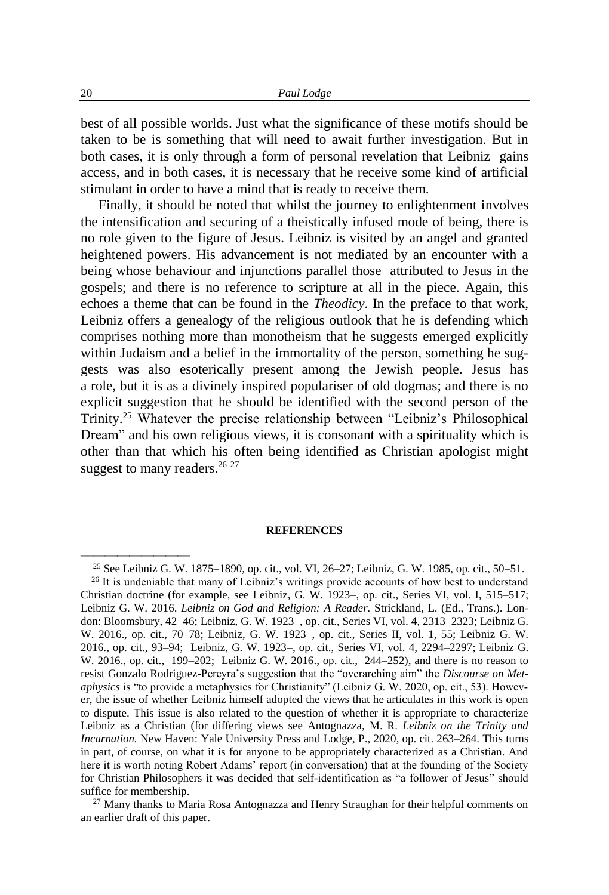best of all possible worlds. Just what the significance of these motifs should be taken to be is something that will need to await further investigation. But in both cases, it is only through a form of personal revelation that Leibniz gains access, and in both cases, it is necessary that he receive some kind of artificial stimulant in order to have a mind that is ready to receive them.

Finally, it should be noted that whilst the journey to enlightenment involves the intensification and securing of a theistically infused mode of being, there is no role given to the figure of Jesus. Leibniz is visited by an angel and granted heightened powers. His advancement is not mediated by an encounter with a being whose behaviour and injunctions parallel those attributed to Jesus in the gospels; and there is no reference to scripture at all in the piece. Again, this echoes a theme that can be found in the *Theodicy*. In the preface to that work, Leibniz offers a genealogy of the religious outlook that he is defending which comprises nothing more than monotheism that he suggests emerged explicitly within Judaism and a belief in the immortality of the person, something he suggests was also esoterically present among the Jewish people. Jesus has a role, but it is as a divinely inspired populariser of old dogmas; and there is no explicit suggestion that he should be identified with the second person of the Trinity.<sup>25</sup> Whatever the precise relationship between "Leibniz's Philosophical Dream" and his own religious views, it is consonant with a spirituality which is other than that which his often being identified as Christian apologist might suggest to many readers. $26 27$ 

#### **REFERENCES**

————————————————

<sup>25</sup> See Leibniz G. W. 1875–1890, op. cit., vol. VI, 26–27; Leibniz, G. W. 1985, op. cit., 50–51.

<sup>&</sup>lt;sup>26</sup> It is undeniable that many of Leibniz's writings provide accounts of how best to understand Christian doctrine (for example, see Leibniz, G. W. 1923–, op. cit., Series VI, vol. I, 515–517; Leibniz G. W. 2016. *Leibniz on God and Religion: A Reader.* Strickland, L. (Ed., Trans.). London: Bloomsbury, 42–46; Leibniz, G. W. 1923–, op. cit., Series VI, vol. 4, 2313–2323; Leibniz G. W. 2016., op. cit., 70–78; Leibniz, G. W. 1923–, op. cit., Series II, vol. 1, 55; Leibniz G. W. 2016., op. cit., 93–94; Leibniz, G. W. 1923–, op. cit., Series VI, vol. 4, 2294–2297; Leibniz G. W. 2016., op. cit., 199–202; Leibniz G. W. 2016., op. cit., 244–252), and there is no reason to resist Gonzalo Rodriguez-Pereyra's suggestion that the "overarching aim" the *Discourse on Metaphysics* is "to provide a metaphysics for Christianity" (Leibniz G. W. 2020, op. cit., 53). However, the issue of whether Leibniz himself adopted the views that he articulates in this work is open to dispute. This issue is also related to the question of whether it is appropriate to characterize Leibniz as a Christian (for differing views see Antognazza, M. R. *Leibniz on the Trinity and Incarnation.* New Haven: Yale University Press and Lodge, P., 2020, op. cit. 263–264. This turns in part, of course, on what it is for anyone to be appropriately characterized as a Christian. And here it is worth noting Robert Adams' report (in conversation) that at the founding of the Society for Christian Philosophers it was decided that self-identification as "a follower of Jesus" should suffice for membership.

<sup>&</sup>lt;sup>27</sup> Many thanks to Maria Rosa Antognazza and Henry Straughan for their helpful comments on an earlier draft of this paper.